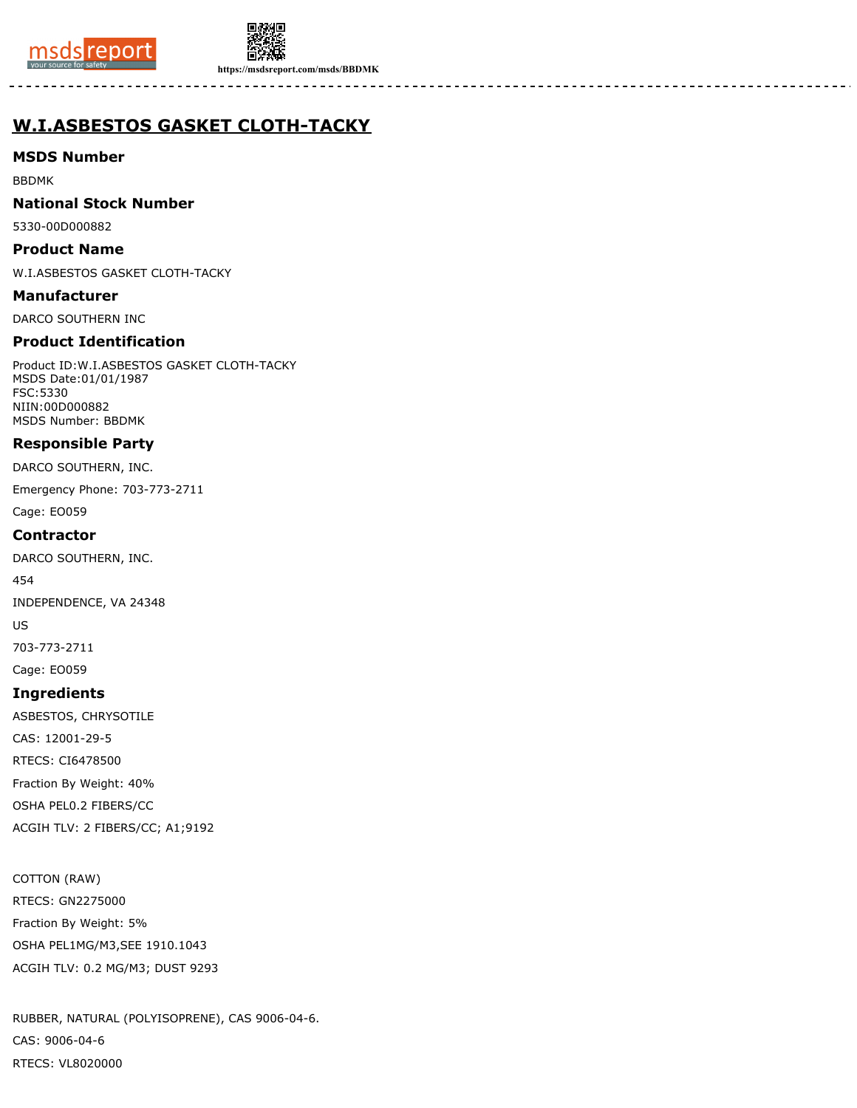



**https://msdsreport.com/msds/BBDMK**

# **W.I.ASBESTOS GASKET CLOTH-TACKY**

## **MSDS Number**

BBDMK

## **National Stock Number**

5330-00D000882

#### **Product Name**

W.I.ASBESTOS GASKET CLOTH-TACKY

**Manufacturer**

DARCO SOUTHERN INC

## **Product Identification**

Product ID:W.I.ASBESTOS GASKET CLOTH-TACKY MSDS Date:01/01/1987 FSC:5330 NIIN:00D000882 MSDS Number: BBDMK

## **Responsible Party**

DARCO SOUTHERN, INC.

Emergency Phone: 703-773-2711

Cage: EO059

## **Contractor**

DARCO SOUTHERN, INC.

454

INDEPENDENCE, VA 24348

US

703-773-2711

Cage: EO059

## **Ingredients**

ASBESTOS, CHRYSOTILE

CAS: 12001-29-5

RTECS: CI6478500

Fraction By Weight: 40%

OSHA PEL0.2 FIBERS/CC

ACGIH TLV: 2 FIBERS/CC; A1;9192

## COTTON (RAW)

RTECS: GN2275000 Fraction By Weight: 5% OSHA PEL1MG/M3,SEE 1910.1043 ACGIH TLV: 0.2 MG/M3; DUST 9293

RUBBER, NATURAL (POLYISOPRENE), CAS 9006-04-6. CAS: 9006-04-6 RTECS: VL8020000